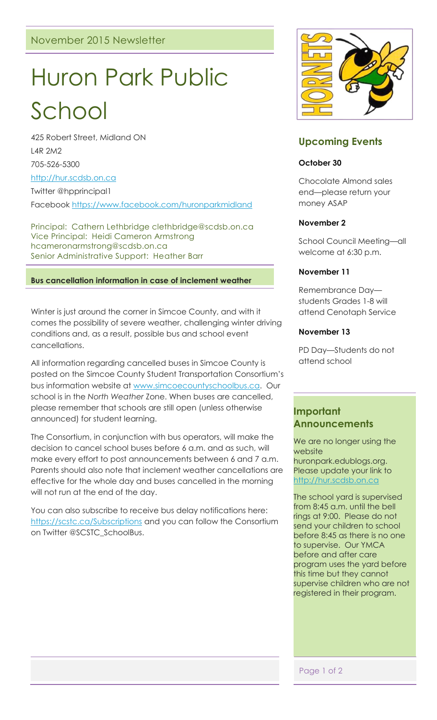# Huron Park Public School

425 Robert Street, Midland ON L4R 2M2 705-526-5300

[http://hur.scdsb.on.ca](http://hur.scdsb.on.ca/)

Twitter @hpprincipal1

Facebook<https://www.facebook.com/huronparkmidland>

Principal: Cathern Lethbridge clethbridge@scdsb.on.ca Vice Principal: Heidi Cameron Armstrong hcameronarmstrong@scdsb.on.ca Senior Administrative Support: Heather Barr

## **Bus cancellation information in case of inclement weather**

Winter is just around the corner in Simcoe County, and with it comes the possibility of severe weather, challenging winter driving conditions and, as a result, possible bus and school event cancellations.

All information regarding cancelled buses in Simcoe County is posted on the Simcoe County Student Transportation Consortium's bus information website at [www.simcoecountyschoolbus.ca.](http://www.simcoecountyschoolbus.ca/) Our school is in the *North Weather* Zone. When buses are cancelled, please remember that schools are still open (unless otherwise announced) for student learning.

The Consortium, in conjunction with bus operators, will make the decision to cancel school buses before 6 a.m. and as such, will make every effort to post announcements between 6 and 7 a.m. Parents should also note that inclement weather cancellations are effective for the whole day and buses cancelled in the morning will not run at the end of the day.

You can also subscribe to receive bus delay notifications here: <https://scstc.ca/Subscriptions> and you can follow the Consortium on Twitter @SCSTC\_SchoolBus.



# **Upcoming Events**

## **October 30**

Chocolate Almond sales end—please return your money ASAP

### **November 2**

School Council Meeting—all welcome at 6:30 p.m.

### **November 11**

Remembrance Day students Grades 1-8 will attend Cenotaph Service

### **November 13**

PD Day—Students do not attend school

# **Important Announcements**

We are no longer using the website huronpark.edublogs.org. Please update your link to [http://hur.scdsb.on.ca](http://hur.scdsb.on.ca/)

The school yard is supervised from 8:45 a.m. until the bell rings at 9:00. Please do not send your children to school before 8:45 as there is no one to supervise. Our YMCA before and after care program uses the yard before this time but they cannot supervise children who are not registered in their program.

Page 1 of 2